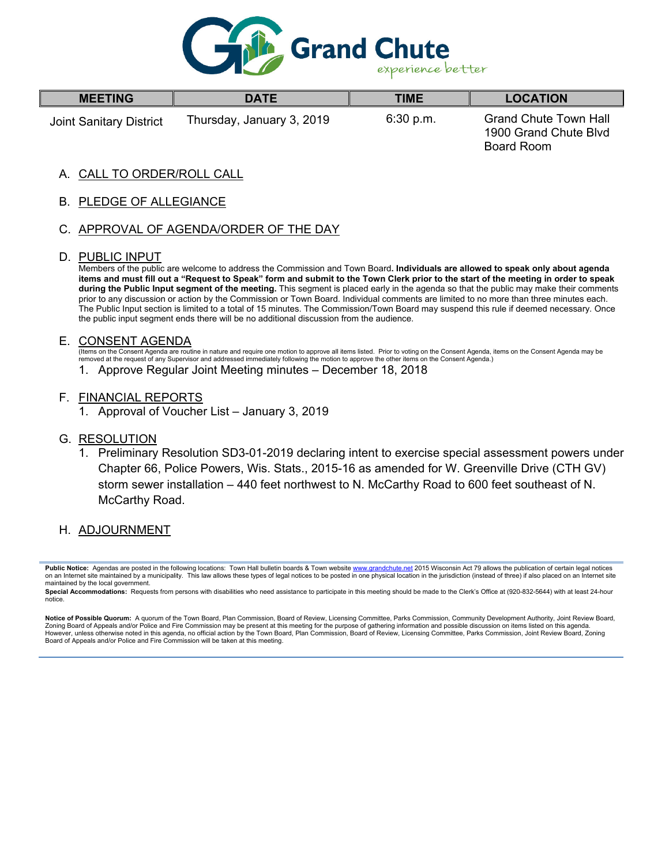

| <b>MEETING</b>          | <b>DATE</b>               | TIME      | <b>LOCATION</b>                                                     |  |
|-------------------------|---------------------------|-----------|---------------------------------------------------------------------|--|
| Joint Sanitary District | Thursday, January 3, 2019 | 6:30 p.m. | <b>Grand Chute Town Hall</b><br>1900 Grand Chute Blvd<br>Board Room |  |

## A. CALL TO ORDER/ROLL CALL

## B. PLEDGE OF ALLEGIANCE

## C. APPROVAL OF AGENDA/ORDER OF THE DAY

#### D. PUBLIC INPUT

Г

Members of the public are welcome to address the Commission and Town Board**. Individuals are allowed to speak only about agenda items and must fill out a "Request to Speak" form and submit to the Town Clerk prior to the start of the meeting in order to speak during the Public Input segment of the meeting.** This segment is placed early in the agenda so that the public may make their comments prior to any discussion or action by the Commission or Town Board. Individual comments are limited to no more than three minutes each. The Public Input section is limited to a total of 15 minutes. The Commission/Town Board may suspend this rule if deemed necessary. Once the public input segment ends there will be no additional discussion from the audience.

#### E. CONSENT AGENDA

(Items on the Consent Agenda are routine in nature and require one motion to approve all items listed. Prior to voting on the Consent Agenda, items on the Consent Agenda may be removed at the request of any Supervisor and addressed immediately following the motion to approve the other items on the Consent Agenda.)

1. Approve Regular Joint Meeting minutes – December 18, 2018

#### F. FINANCIAL REPORTS

1. Approval of Voucher List – January 3, 2019

#### G. RESOLUTION

1. Preliminary Resolution SD3-01-2019 declaring intent to exercise special assessment powers under Chapter 66, Police Powers, Wis. Stats., 2015-16 as amended for W. Greenville Drive (CTH GV) storm sewer installation – 440 feet northwest to N. McCarthy Road to 600 feet southeast of N. McCarthy Road.

## H. ADJOURNMENT

Notice of Possible Quorum: A quorum of the Town Board, Plan Commission, Board of Review, Licensing Committee, Parks Commission, Community Development Authority, Joint Review Board, Zoning Board of Appeals and/or Police and Fire Commission may be present at this meeting for the purpose of gathering information and possible discussion on items listed on this agenda. However, unless otherwise noted in this agenda, no official action by the Town Board, Plan Commission, Board of Review, Licensing Committee, Parks Commission, Joint Review Board, Zoning Board of Appeals and/or Police and Fire Commission will be taken at this meeting.

Public Notice: Agendas are posted in the following locations: Town Hall bulletin boards & Town website www.grandchute.net 2015 Wisconsin Act 79 allows the publication of certain legal notices on an Internet site maintained by a municipality. This law allows these types of legal notices to be posted in one physical location in the jurisdiction (instead of three) if also placed on an Internet site maintained by the local government.

Special Accommodations: Requests from persons with disabilities who need assistance to participate in this meeting should be made to the Clerk's Office at (920-832-5644) with at least 24-hour notice.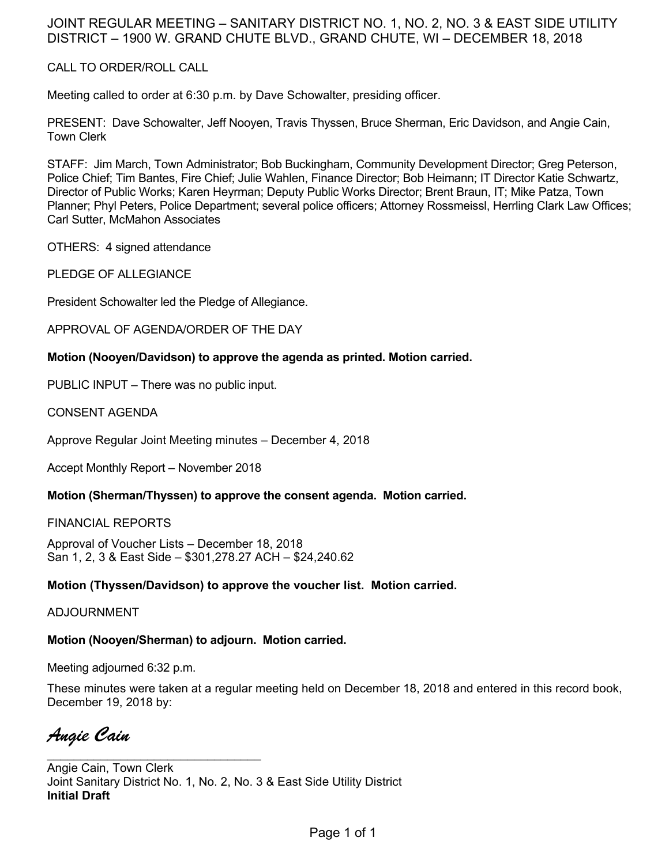# JOINT REGULAR MEETING – SANITARY DISTRICT NO. 1, NO. 2, NO. 3 & EAST SIDE UTILITY DISTRICT – 1900 W. GRAND CHUTE BLVD., GRAND CHUTE, WI – DECEMBER 18, 2018

## CALL TO ORDER/ROLL CALL

Meeting called to order at 6:30 p.m. by Dave Schowalter, presiding officer.

PRESENT: Dave Schowalter, Jeff Nooyen, Travis Thyssen, Bruce Sherman, Eric Davidson, and Angie Cain, Town Clerk

STAFF: Jim March, Town Administrator; Bob Buckingham, Community Development Director; Greg Peterson, Police Chief; Tim Bantes, Fire Chief; Julie Wahlen, Finance Director; Bob Heimann; IT Director Katie Schwartz, Director of Public Works; Karen Heyrman; Deputy Public Works Director; Brent Braun, IT; Mike Patza, Town Planner; Phyl Peters, Police Department; several police officers; Attorney Rossmeissl, Herrling Clark Law Offices; Carl Sutter, McMahon Associates

OTHERS: 4 signed attendance

PLEDGE OF ALLEGIANCE

President Schowalter led the Pledge of Allegiance.

APPROVAL OF AGENDA/ORDER OF THE DAY

## **Motion (Nooyen/Davidson) to approve the agenda as printed. Motion carried.**

PUBLIC INPUT – There was no public input.

CONSENT AGENDA

Approve Regular Joint Meeting minutes – December 4, 2018

Accept Monthly Report – November 2018

## **Motion (Sherman/Thyssen) to approve the consent agenda. Motion carried.**

FINANCIAL REPORTS

Approval of Voucher Lists – December 18, 2018 San 1, 2, 3 & East Side – \$301,278.27 ACH – \$24,240.62

## **Motion (Thyssen/Davidson) to approve the voucher list. Motion carried.**

ADJOURNMENT

## **Motion (Nooyen/Sherman) to adjourn. Motion carried.**

Meeting adjourned 6:32 p.m.

\_\_\_\_\_\_\_\_\_\_\_\_\_\_\_\_\_\_\_\_\_\_\_\_\_\_\_\_\_\_\_\_

These minutes were taken at a regular meeting held on December 18, 2018 and entered in this record book, December 19, 2018 by:

*Angie Cain* 

Angie Cain, Town Clerk Joint Sanitary District No. 1, No. 2, No. 3 & East Side Utility District **Initial Draft**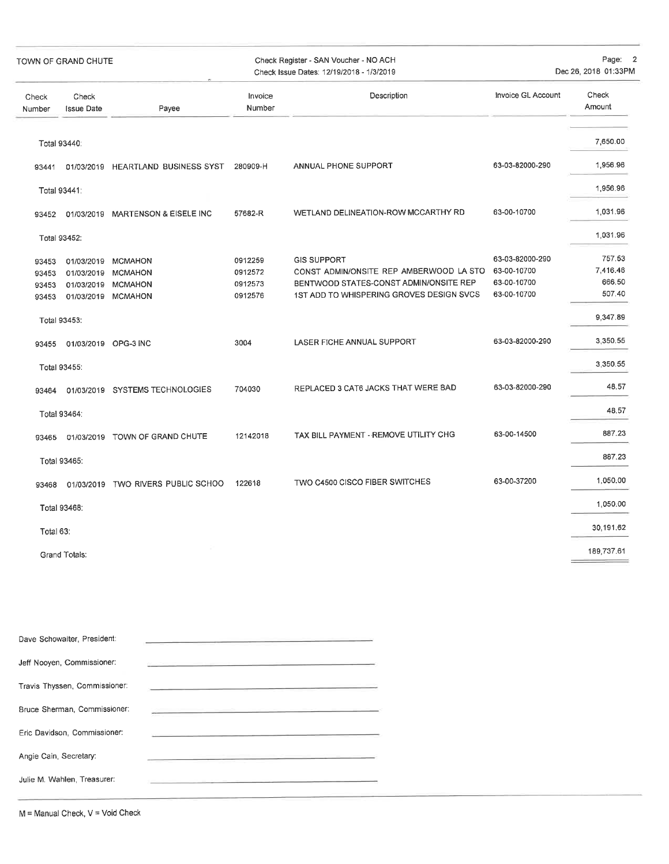| TOWN OF GRAND CHUTE              |                            |                                                                                      | Check Register - SAN Voucher - NO ACH<br>Check Issue Dates: 12/19/2018 - 1/3/2019 | Page: 2<br>Dec 26, 2018 01:33PM                                                                                                                     |                                                              |                                        |
|----------------------------------|----------------------------|--------------------------------------------------------------------------------------|-----------------------------------------------------------------------------------|-----------------------------------------------------------------------------------------------------------------------------------------------------|--------------------------------------------------------------|----------------------------------------|
| Check<br>Number                  | Check<br><b>Issue Date</b> | Payee                                                                                | Invoice<br>Number                                                                 | Description                                                                                                                                         | Invoice GL Account                                           | Check<br>Amount                        |
|                                  | Total 93440:               |                                                                                      |                                                                                   |                                                                                                                                                     |                                                              | 7,650.00                               |
| 93441                            |                            | 01/03/2019 HEARTLAND BUSINESS SYST                                                   | 280909-H                                                                          | ANNUAL PHONE SUPPORT                                                                                                                                | 63-03-82000-290                                              | 1,956.96                               |
|                                  | Total 93441:               |                                                                                      |                                                                                   |                                                                                                                                                     |                                                              | 1,956.96                               |
|                                  |                            | 93452 01/03/2019 MARTENSON & EISELE INC                                              | 57682-R                                                                           | WETLAND DELINEATION-ROW MCCARTHY RD                                                                                                                 | 63-00-10700                                                  | 1,031.96                               |
|                                  | Total 93452:               |                                                                                      |                                                                                   |                                                                                                                                                     |                                                              | 1,031.96                               |
| 93453<br>93453<br>93453<br>93453 |                            | 01/03/2019 MCMAHON<br>01/03/2019 MCMAHON<br>01/03/2019 MCMAHON<br>01/03/2019 MCMAHON | 0912259<br>0912572<br>0912573<br>0912576                                          | <b>GIS SUPPORT</b><br>CONST ADMIN/ONSITE REP AMBERWOOD LA STO<br>BENTWOOD STATES-CONST ADMIN/ONSITE REP<br>1ST ADD TO WHISPERING GROVES DESIGN SVCS | 63-03-82000-290<br>63-00-10700<br>63-00-10700<br>63-00-10700 | 757.53<br>7,416.46<br>666,50<br>507.40 |
|                                  | Total 93453:               |                                                                                      |                                                                                   |                                                                                                                                                     |                                                              | 9,347.89                               |
| 93455                            |                            | 01/03/2019 OPG-3 INC                                                                 | 3004                                                                              | LASER FICHE ANNUAL SUPPORT                                                                                                                          | 63-03-82000-290                                              | 3,350.55                               |
|                                  | Total 93455:               |                                                                                      |                                                                                   |                                                                                                                                                     |                                                              | 3,350.55                               |
| 93464                            |                            | 01/03/2019 SYSTEMS TECHNOLOGIES                                                      | 704030                                                                            | REPLACED 3 CAT6 JACKS THAT WERE BAD                                                                                                                 | 63-03-82000-290                                              | 48.57                                  |
|                                  | Total 93464:               |                                                                                      |                                                                                   |                                                                                                                                                     |                                                              | 48.57                                  |
| 93465                            |                            | 01/03/2019 TOWN OF GRAND CHUTE                                                       | 12142018                                                                          | TAX BILL PAYMENT - REMOVE UTILITY CHG                                                                                                               | 63-00-14500                                                  | 887.23                                 |
|                                  | Total 93465:               |                                                                                      |                                                                                   |                                                                                                                                                     |                                                              | 887.23                                 |
| 93468                            |                            | 01/03/2019 TWO RIVERS PUBLIC SCHOO                                                   | 122618                                                                            | TWO C4500 CISCO FIBER SWITCHES                                                                                                                      | 63-00-37200                                                  | 1,050.00                               |
|                                  | Total 93468:               |                                                                                      |                                                                                   |                                                                                                                                                     |                                                              | 1,050.00                               |
| Total 63:                        |                            |                                                                                      |                                                                                   |                                                                                                                                                     |                                                              | 30,191.62                              |
|                                  | Grand Totals:              |                                                                                      |                                                                                   |                                                                                                                                                     |                                                              | 189,737.61                             |

| Dave Schowalter, President:   |  |
|-------------------------------|--|
| Jeff Nooyen, Commissioner:    |  |
| Travis Thyssen, Commissioner: |  |
| Bruce Sherman, Commissioner:  |  |
| Eric Davidson, Commissioner:  |  |
| Angie Cain, Secretary:        |  |
| Julie M. Wahlen, Treasurer:   |  |
|                               |  |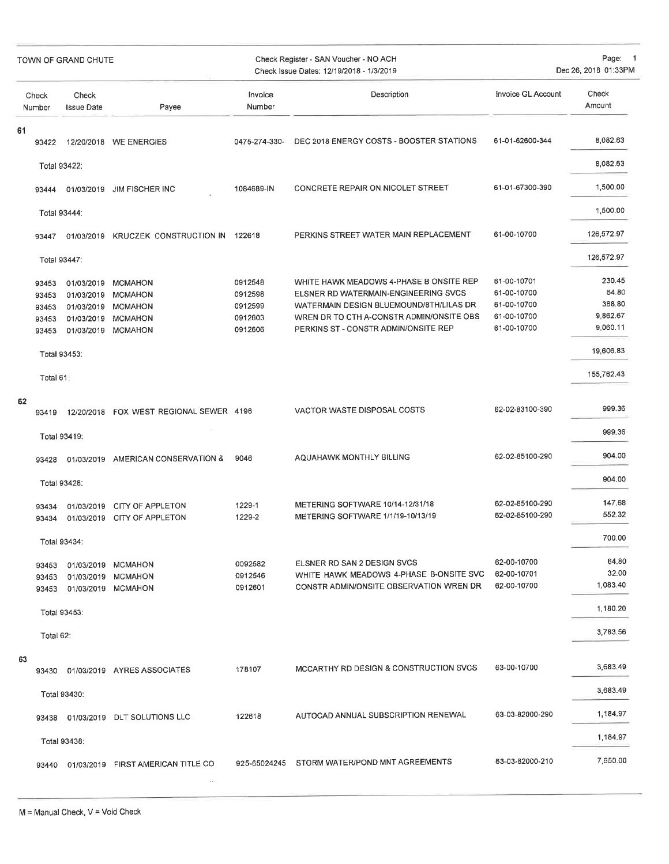| TOWN OF GRAND CHUTE |                                           | Check Register - SAN Voucher - NO ACH<br>Check Issue Dates: 12/19/2018 - 1/3/2019  |                                                                                 |                                                     | Page: 1<br>Dec 26, 2018 01:33PM                                                                                                                                                                                |                                                                         |                                                                |
|---------------------|-------------------------------------------|------------------------------------------------------------------------------------|---------------------------------------------------------------------------------|-----------------------------------------------------|----------------------------------------------------------------------------------------------------------------------------------------------------------------------------------------------------------------|-------------------------------------------------------------------------|----------------------------------------------------------------|
|                     | Check<br>Number                           | Check<br><b>Issue Date</b>                                                         | Payee                                                                           | Invoice<br>Number                                   | Description                                                                                                                                                                                                    | Invoice GL Account                                                      | Check<br>Amount                                                |
| 61                  | 93422                                     |                                                                                    | 12/20/2018 WE ENERGIES                                                          | 0475-274-330-                                       | DEC 2018 ENERGY COSTS - BOOSTER STATIONS                                                                                                                                                                       | 61-01-62600-344                                                         | 8,082.63                                                       |
|                     |                                           | Total 93422:                                                                       |                                                                                 |                                                     |                                                                                                                                                                                                                |                                                                         | 8,082.63                                                       |
|                     | 93444                                     | 01/03/2019                                                                         | <b>JIM FISCHER INC</b>                                                          | 1084689-IN                                          | CONCRETE REPAIR ON NICOLET STREET                                                                                                                                                                              | 61-01-67300-390                                                         | 1,500.00                                                       |
|                     |                                           | Total 93444:                                                                       |                                                                                 |                                                     |                                                                                                                                                                                                                |                                                                         | 1,500.00                                                       |
|                     | 93447                                     | 01/03/2019                                                                         | KRUCZEK CONSTRUCTION IN                                                         | 122618                                              | PERKINS STREET WATER MAIN REPLACEMENT                                                                                                                                                                          | 61-00-10700                                                             | 126,572.97                                                     |
|                     |                                           | Total 93447:                                                                       |                                                                                 |                                                     |                                                                                                                                                                                                                |                                                                         | 126,572.97                                                     |
|                     | 93453<br>93453<br>93453<br>93453<br>93453 | 01/03/2019<br>01/03/2019<br>01/03/2019<br>01/03/2019<br>01/03/2019<br>Total 93453: | MCMAHON<br><b>MCMAHON</b><br><b>MCMAHON</b><br><b>MCMAHON</b><br><b>MCMAHON</b> | 0912548<br>0912598<br>0912599<br>0912603<br>0912606 | WHITE HAWK MEADOWS 4-PHASE B ONSITE REP<br>ELSNER RD WATERMAIN-ENGINEERING SVCS<br>WATERMAIN DESIGN BLUEMOUND/8TH/LILAS DR<br>WREN DR TO CTH A-CONSTR ADMIN/ONSITE OBS<br>PERKINS ST - CONSTR ADMIN/ONSITE REP | 61-00-10701<br>61-00-10700<br>61-00-10700<br>61-00-10700<br>61-00-10700 | 230.45<br>64.80<br>388.80<br>9,862.67<br>9,060.11<br>19,606.83 |
|                     |                                           |                                                                                    |                                                                                 |                                                     |                                                                                                                                                                                                                |                                                                         | 155,762.43                                                     |
|                     | Total 61:                                 |                                                                                    |                                                                                 |                                                     |                                                                                                                                                                                                                |                                                                         |                                                                |
| 62                  | 93419                                     | 12/20/2018                                                                         | FOX WEST REGIONAL SEWER 4196                                                    |                                                     | VACTOR WASTE DISPOSAL COSTS                                                                                                                                                                                    | 62-02-83100-390                                                         | 999.36                                                         |
|                     |                                           | Total 93419:                                                                       |                                                                                 |                                                     |                                                                                                                                                                                                                |                                                                         | 999.36                                                         |
|                     | 93428                                     |                                                                                    | 01/03/2019 AMERICAN CONSERVATION &                                              | 9046                                                | AQUAHAWK MONTHLY BILLING                                                                                                                                                                                       | 62-02-85100-290                                                         | 904.00                                                         |
|                     |                                           | Total 93428:                                                                       |                                                                                 |                                                     |                                                                                                                                                                                                                |                                                                         | 904.00                                                         |
|                     | 93434<br>93434                            | 01/03/2019<br>01/03/2019                                                           | CITY OF APPLETON<br>CITY OF APPLETON                                            | 1229-1<br>1229-2                                    | METERING SOFTWARE 10/14-12/31/18<br>METERING SOFTWARE 1/1/19-10/13/19                                                                                                                                          | 62-02-85100-290<br>62-02-85100-290                                      | 147.68<br>552.32                                               |
|                     |                                           | Total 93434:                                                                       |                                                                                 |                                                     |                                                                                                                                                                                                                |                                                                         | 700.00                                                         |
|                     | 93453<br>93453<br>93453                   |                                                                                    | 01/03/2019 MCMAHON<br>01/03/2019 MCMAHON<br>01/03/2019 MCMAHON                  | 0092582<br>0912546<br>0912601                       | ELSNER RD SAN 2 DESIGN SVCS<br>WHITE HAWK MEADOWS 4-PHASE B-ONSITE SVC<br>CONSTR ADMIN/ONSITE OBSERVATION WREN DR                                                                                              | 62-00-10700<br>62-00-10701<br>62-00-10700                               | 64.80<br>32.00<br>1,083.40                                     |
|                     |                                           | Total 93453:                                                                       |                                                                                 |                                                     |                                                                                                                                                                                                                |                                                                         | 1.180.20                                                       |
|                     | Total 62:                                 |                                                                                    |                                                                                 |                                                     |                                                                                                                                                                                                                |                                                                         | 3,783.56                                                       |
| 63                  |                                           |                                                                                    |                                                                                 |                                                     |                                                                                                                                                                                                                |                                                                         |                                                                |
|                     |                                           |                                                                                    | 93430 01/03/2019 AYRES ASSOCIATES                                               | 178107                                              | MCCARTHY RD DESIGN & CONSTRUCTION SVCS                                                                                                                                                                         | 63-00-10700                                                             | 3,683.49                                                       |
|                     |                                           | Total 93430:                                                                       |                                                                                 |                                                     |                                                                                                                                                                                                                |                                                                         | 3,683.49                                                       |
|                     | 93438                                     |                                                                                    | 01/03/2019 DLT SOLUTIONS LLC                                                    | 122618                                              | AUTOCAD ANNUAL SUBSCRIPTION RENEWAL                                                                                                                                                                            | 63-03-82000-290                                                         | 1,184.97                                                       |
|                     |                                           | Total 93438:                                                                       |                                                                                 |                                                     |                                                                                                                                                                                                                |                                                                         | 1,184.97                                                       |
|                     | 93440                                     |                                                                                    | 01/03/2019 FIRST AMERICAN TITLE CO                                              | 925-65024245                                        | STORM WATER/POND MNT AGREEMENTS                                                                                                                                                                                | 63-03-82000-210                                                         | 7,650.00                                                       |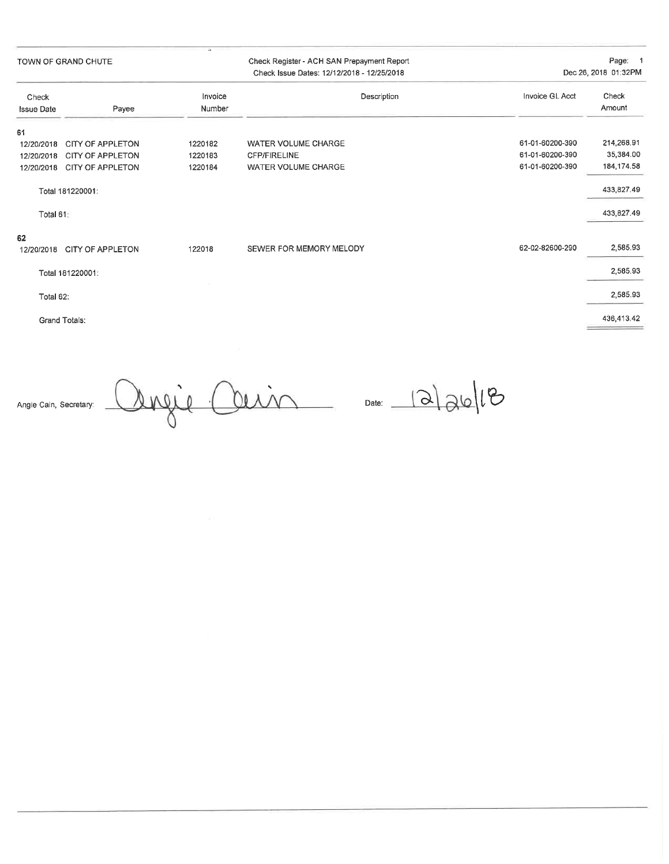TOWN OF GRAND CHUTE

Check Register - ACH SAN Prepayment Report Check Issue Dates: 12/12/2018 - 12/25/2018

Page: 1 Dec 26, 2018 01:32PM

| Check                                |                         | Invoice | Invoice GL Acct<br>Description                | Check       |
|--------------------------------------|-------------------------|---------|-----------------------------------------------|-------------|
| Number<br>Payee<br><b>Issue Date</b> |                         |         |                                               | Amount      |
| 61                                   |                         |         |                                               |             |
| 12/20/2018                           | <b>CITY OF APPLETON</b> | 1220182 | 61-01-60200-390<br><b>WATER VOLUME CHARGE</b> | 214,268.91  |
| 12/20/2018                           | <b>CITY OF APPLETON</b> | 1220183 | 61-01-60200-390<br><b>CFP/FIRELINE</b>        | 35,384.00   |
| 12/20/2018                           | CITY OF APPLETON        | 1220184 | 61-01-60200-390<br>WATER VOLUME CHARGE        | 184, 174.58 |
|                                      | Total 181220001:        |         |                                               | 433,827.49  |
| Total 61:                            |                         |         |                                               | 433,827.49  |
| 62<br>12/20/2018                     | <b>CITY OF APPLETON</b> | 122018  | 62-02-82600-290<br>SEWER FOR MEMORY MELODY    | 2,585.93    |
|                                      |                         |         |                                               |             |
|                                      | Total 181220001:        |         |                                               | 2,585.93    |
| Total 62:                            |                         |         |                                               | 2,585.93    |
| Grand Totals:                        |                         |         |                                               | 436,413.42  |

Angie Cain, Secretary:

Angie Ouin Date: 12/26/18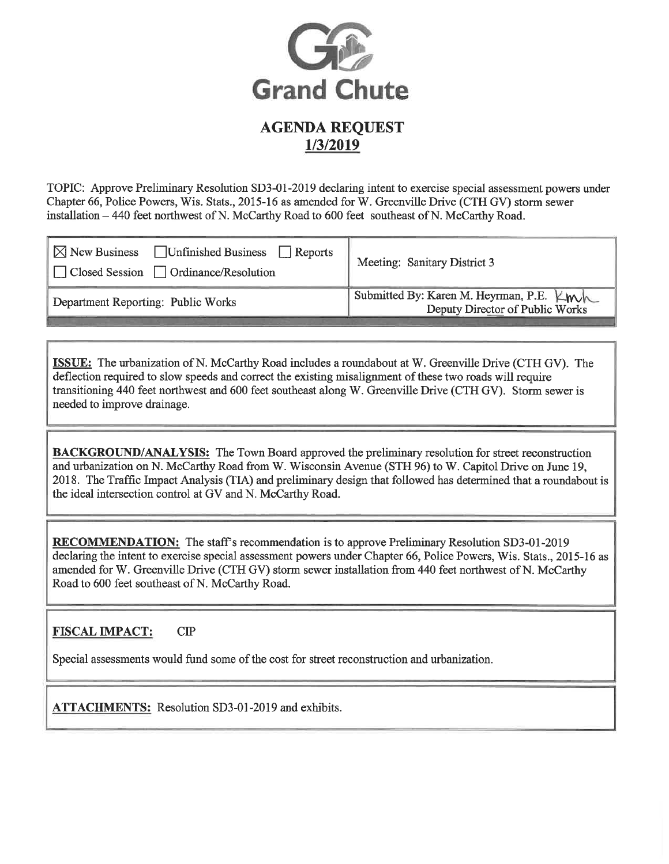

TOPIC: Approve Preliminary Resolution SD3-01-2019 declaring intent to exercise special assessment powers under Chapter 66, Police Powers, Wis. Stats., 2015-16 as amended for W. Greenville Drive (CTH GV) storm sewer installation – 440 feet northwest of N. McCarthy Road to 600 feet southeast of N. McCarthy Road.

| Unfinished Business Reports<br>$\boxtimes$ New Business<br>□ Closed Session □ Ordinance/Resolution | Meeting: Sanitary District 3             |
|----------------------------------------------------------------------------------------------------|------------------------------------------|
| Department Reporting: Public Works                                                                 | Submitted By: Karen M. Heyrman, P.E. Kwh |

**ISSUE:** The urbanization of N. McCarthy Road includes a roundabout at W. Greenville Drive (CTH GV). The deflection required to slow speeds and correct the existing misalignment of these two roads will require transitioning 440 feet northwest and 600 feet southeast along W. Greenville Drive (CTH GV). Storm sewer is needed to improve drainage.

**BACKGROUND/ANALYSIS:** The Town Board approved the preliminary resolution for street reconstruction and urbanization on N. McCarthy Road from W. Wisconsin Avenue (STH 96) to W. Capitol Drive on June 19, 2018. The Traffic Impact Analysis (TIA) and preliminary design that followed has determined that a roundabout is the ideal intersection control at GV and N. McCarthy Road.

**RECOMMENDATION:** The staff's recommendation is to approve Preliminary Resolution SD3-01-2019 declaring the intent to exercise special assessment powers under Chapter 66, Police Powers, Wis. Stats., 2015-16 as amended for W. Greenville Drive (CTH GV) storm sewer installation from 440 feet northwest of N. McCarthy Road to 600 feet southeast of N. McCarthy Road.

#### **FISCAL IMPACT:**  $CIP$

Special assessments would fund some of the cost for street reconstruction and urbanization.

**ATTACHMENTS:** Resolution SD3-01-2019 and exhibits.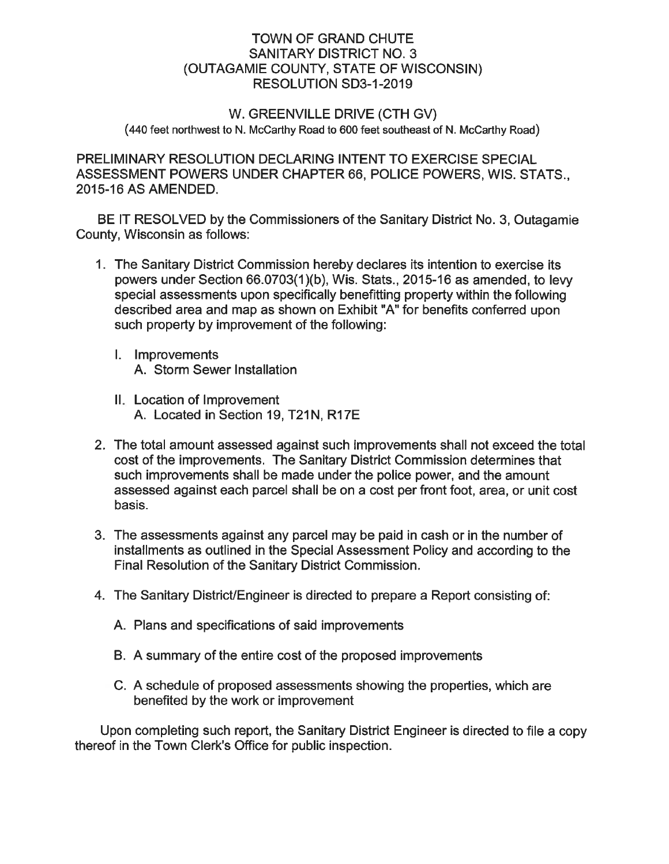# **TOWN OF GRAND CHUTE SANITARY DISTRICT NO. 3** (OUTAGAMIE COUNTY, STATE OF WISCONSIN) RESOLUTION SD3-1-2019

# W. GREENVILLE DRIVE (CTH GV) (440 feet northwest to N. McCarthy Road to 600 feet southeast of N. McCarthy Road)

PRELIMINARY RESOLUTION DECLARING INTENT TO EXERCISE SPECIAL ASSESSMENT POWERS UNDER CHAPTER 66, POLICE POWERS, WIS. STATS... 2015-16 AS AMENDED.

BE IT RESOLVED by the Commissioners of the Sanitary District No. 3, Outagamie County, Wisconsin as follows:

- 1. The Sanitary District Commission hereby declares its intention to exercise its powers under Section 66.0703(1)(b), Wis. Stats., 2015-16 as amended, to levy special assessments upon specifically benefitting property within the following described area and map as shown on Exhibit "A" for benefits conferred upon such property by improvement of the following:
	- I. Improvements A. Storm Sewer Installation
	- II. Location of Improvement A. Located in Section 19, T21N, R17E
- 2. The total amount assessed against such improvements shall not exceed the total cost of the improvements. The Sanitary District Commission determines that such improvements shall be made under the police power, and the amount assessed against each parcel shall be on a cost per front foot, area, or unit cost basis.
- 3. The assessments against any parcel may be paid in cash or in the number of installments as outlined in the Special Assessment Policy and according to the Final Resolution of the Sanitary District Commission.
- 4. The Sanitary District/Engineer is directed to prepare a Report consisting of:
	- A. Plans and specifications of said improvements
	- B. A summary of the entire cost of the proposed improvements
	- C. A schedule of proposed assessments showing the properties, which are benefited by the work or improvement

Upon completing such report, the Sanitary District Engineer is directed to file a copy thereof in the Town Clerk's Office for public inspection.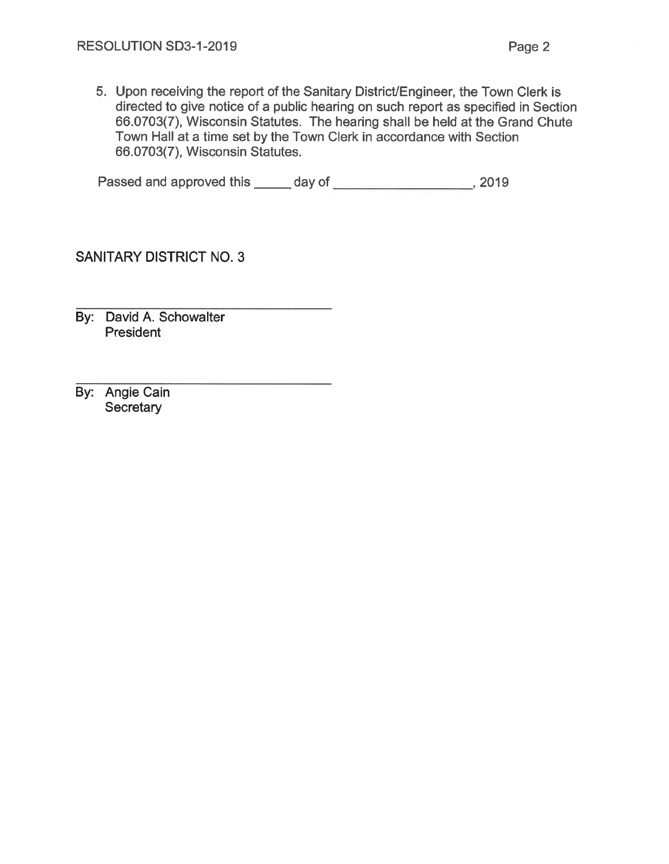5. Upon receiving the report of the Sanitary District/Engineer, the Town Clerk is directed to give notice of a public hearing on such report as specified in Section 66.0703(7), Wisconsin Statutes. The hearing shall be held at the Grand Chute Town Hall at a time set by the Town Clerk in accordance with Section 66.0703(7), Wisconsin Statutes.

**SANITARY DISTRICT NO. 3** 

By: David A. Schowalter President

By: Angie Cain Secretary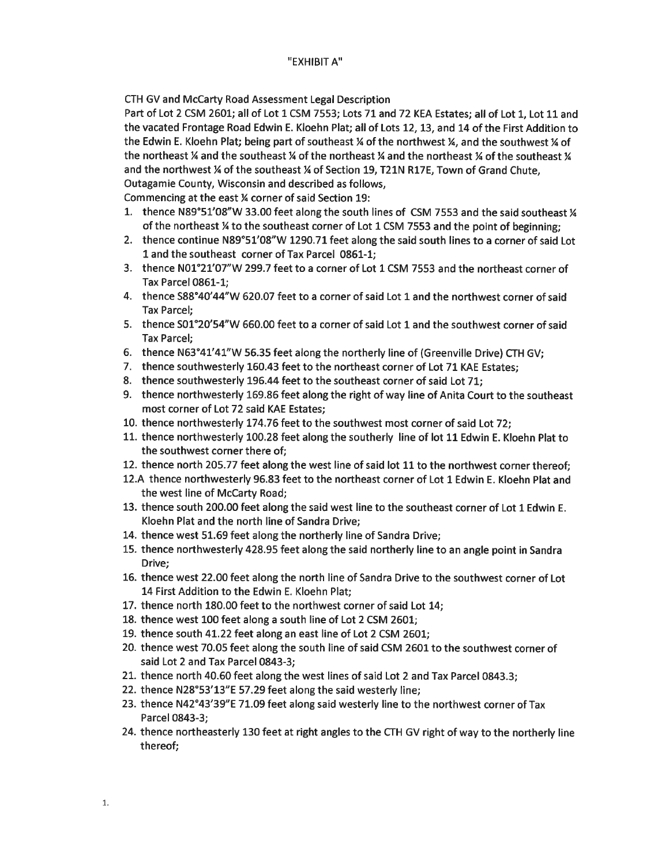CTH GV and McCarty Road Assessment Legal Description

Part of Lot 2 CSM 2601; all of Lot 1 CSM 7553; Lots 71 and 72 KEA Estates; all of Lot 1, Lot 11 and the vacated Frontage Road Edwin E. Kloehn Plat; all of Lots 12, 13, and 14 of the First Addition to the Edwin E. Kloehn Plat; being part of southeast ¼ of the northwest ¼, and the southwest ¼ of the northeast  $\frac{1}{4}$  and the southeast  $\frac{1}{4}$  of the northeast  $\frac{1}{4}$  and the northeast  $\frac{1}{4}$  of the southeast  $\frac{1}{4}$ and the northwest % of the southeast % of Section 19, T21N R17E. Town of Grand Chute. Outagamie County, Wisconsin and described as follows,

Commencing at the east % corner of said Section 19:

- 1. thence N89°51'08"W 33.00 feet along the south lines of CSM 7553 and the said southeast 1/4 of the northeast % to the southeast corner of Lot 1 CSM 7553 and the point of beginning;
- 2. thence continue N89°51'08"W 1290.71 feet along the said south lines to a corner of said Lot 1 and the southeast corner of Tax Parcel 0861-1;
- 3. thence N01°21'07"W 299.7 feet to a corner of Lot 1 CSM 7553 and the northeast corner of **Tax Parcel 0861-1;**
- 4. thence S88°40'44"W 620.07 feet to a corner of said Lot 1 and the northwest corner of said **Tax Parcel:**
- 5. thence S01°20'54"W 660.00 feet to a corner of said Lot 1 and the southwest corner of said **Tax Parcel:**
- 6. thence N63°41'41"W 56.35 feet along the northerly line of (Greenville Drive) CTH GV;
- 7. thence southwesterly 160.43 feet to the northeast corner of Lot 71 KAE Estates;
- 8. thence southwesterly 196.44 feet to the southeast corner of said Lot 71;
- 9. thence northwesterly 169.86 feet along the right of way line of Anita Court to the southeast most corner of Lot 72 said KAE Estates;
- 10. thence northwesterly 174.76 feet to the southwest most corner of said Lot 72;
- 11. thence northwesterly 100.28 feet along the southerly line of lot 11 Edwin E. Kloehn Plat to the southwest corner there of;
- 12. thence north 205.77 feet along the west line of said lot 11 to the northwest corner thereof;
- 12.A thence northwesterly 96.83 feet to the northeast corner of Lot 1 Edwin E. Kloehn Plat and the west line of McCarty Road;
- 13. thence south 200.00 feet along the said west line to the southeast corner of Lot 1 Edwin E. Kloehn Plat and the north line of Sandra Drive;
- 14. thence west 51.69 feet along the northerly line of Sandra Drive;
- 15. thence northwesterly 428.95 feet along the said northerly line to an angle point in Sandra Drive:
- 16. thence west 22.00 feet along the north line of Sandra Drive to the southwest corner of Lot 14 First Addition to the Edwin E. Kloehn Plat;
- 17. thence north 180.00 feet to the northwest corner of said Lot 14;
- 18. thence west 100 feet along a south line of Lot 2 CSM 2601;
- 19. thence south 41.22 feet along an east line of Lot 2 CSM 2601;
- 20. thence west 70.05 feet along the south line of said CSM 2601 to the southwest corner of said Lot 2 and Tax Parcel 0843-3;
- 21. thence north 40.60 feet along the west lines of said Lot 2 and Tax Parcel 0843.3;
- 22. thence N28°53'13"E 57.29 feet along the said westerly line;
- 23. thence N42°43'39"E 71.09 feet along said westerly line to the northwest corner of Tax Parcel 0843-3;
- 24. thence northeasterly 130 feet at right angles to the CTH GV right of way to the northerly line thereof;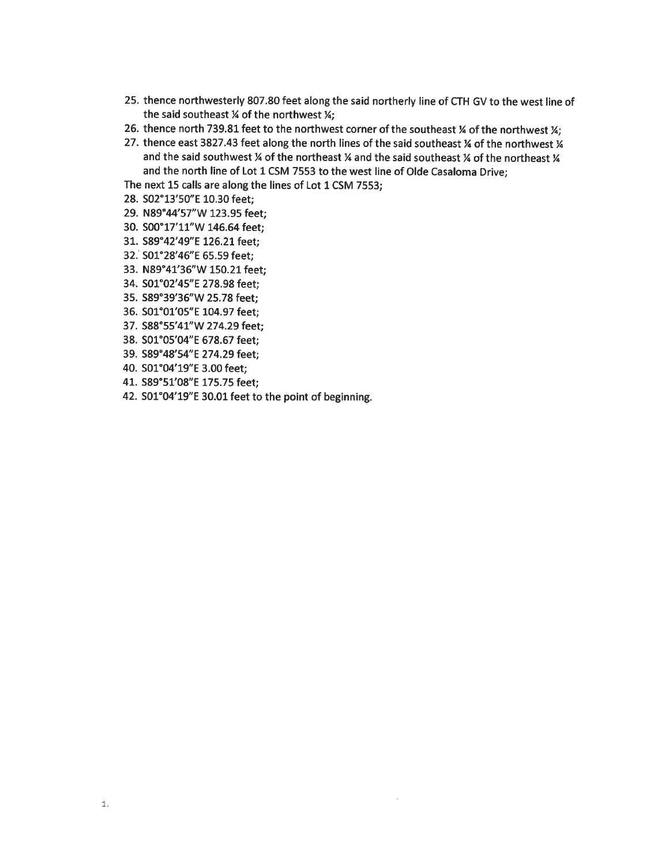- 25. thence northwesterly 807.80 feet along the said northerly line of CTH GV to the west line of the said southeast % of the northwest %;
- 26. thence north 739.81 feet to the northwest corner of the southeast % of the northwest %;
- 27. thence east 3827.43 feet along the north lines of the said southeast % of the northwest % and the said southwest % of the northeast % and the said southeast % of the northeast % and the north line of Lot 1 CSM 7553 to the west line of Olde Casaloma Drive;

The next 15 calls are along the lines of Lot 1 CSM 7553;

- 28. S02°13'50"E 10.30 feet;
- 29. N89°44'57"W 123.95 feet;
- 30. S00°17'11"W 146.64 feet;
- 31. S89°42'49"E 126.21 feet;
- 32. S01°28'46"E 65.59 feet;
- 33. N89°41'36"W 150.21 feet;
- 34. S01°02'45"E 278.98 feet;
- 35. S89°39'36"W 25.78 feet;
- 36. S01°01'05"E 104.97 feet;
- 37. S88°55'41"W 274.29 feet;
- 38. S01°05'04"E 678.67 feet:
- 39. S89°48'54"E 274.29 feet;
- 40. S01°04'19"E 3.00 feet;
- 41. S89°51'08"E 175.75 feet;
- 42. S01°04'19"E 30.01 feet to the point of beginning.